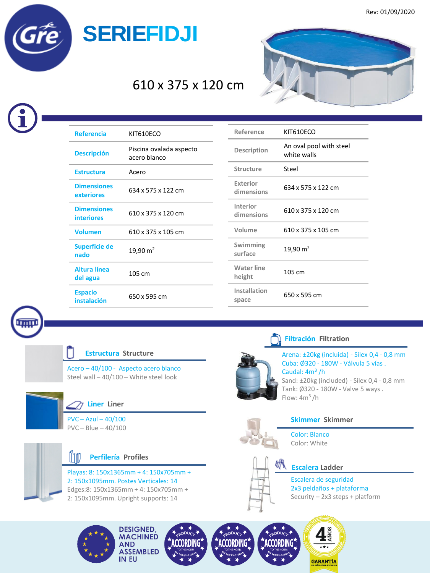

# 610 x 375 x 120 cm



| <b>Referencia</b>                       | KIT610ECO                               |
|-----------------------------------------|-----------------------------------------|
| <b>Descripción</b>                      | Piscina ovalada aspecto<br>acero blanco |
| <b>Estructura</b>                       | Acero                                   |
| <b>Dimensiones</b><br>exteriores        | 634 x 575 x 122 cm                      |
| <b>Dimensiones</b><br><b>interiores</b> | 610 x 375 x 120 cm                      |
| <b>Volumen</b>                          | 610 x 375 x 105 cm                      |
| Superficie de<br>nado                   | 19,90 $m2$                              |
| Altura línea<br>del agua                | 105 cm                                  |
| <b>Espacio</b><br>instalación           | 650 x 595 cm                            |

| Reference                     | KIT610ECO                              |
|-------------------------------|----------------------------------------|
| Description                   | An oval pool with steel<br>white walls |
| <b>Structure</b>              | Steel                                  |
| Exterior<br>dimensions        | 634 x 575 x 122 cm                     |
| <b>Interior</b><br>dimensions | 610 x 375 x 120 cm                     |
| Volume                        | 610 x 375 x 105 cm                     |
| Swimming<br>surface           | $19,90 \text{ m}^2$                    |
| <b>Water line</b><br>height   | 105 cm                                 |
| Installation<br>space         | 650 x 595 cm                           |



## **Estructura Structure**

Acero – 40/100 - Aspecto acero blanco Steel wall – 40/100 – White steel look



### **Liner Liner**

PVC – Azul – 40/100 PVC – Blue – 40/100



Playas: 8: 150x1365mm + 4: 150x705mm + 2: 150x1095mm. Postes Verticales: 14 Edges:8: 150x1365mm + 4: 150x705mm + 2: 150x1095mm. Upright supports: 14



### **Filtración Filtration**

Arena: ±20kg (incluida) - Silex 0,4 - 0,8 mm Cuba: Ø320 - 180W - Válvula 5 vías . Caudal: 4m<sup>3</sup>/h Sand: ±20kg (included) - Silex 0,4 - 0,8 mm Tank: Ø320 - 180W - Valve 5 ways . Flow:  $4m^3/h$ 



# **Skimmer Skimmer**

Color: Blanco Color: White



### **Escalera Ladder**

Escalera de seguridad 2x3 peldaños + plataforma Security – 2x3 steps + platform



**DESIGNED, MACHINED AND ASSEMBLED** IN EU